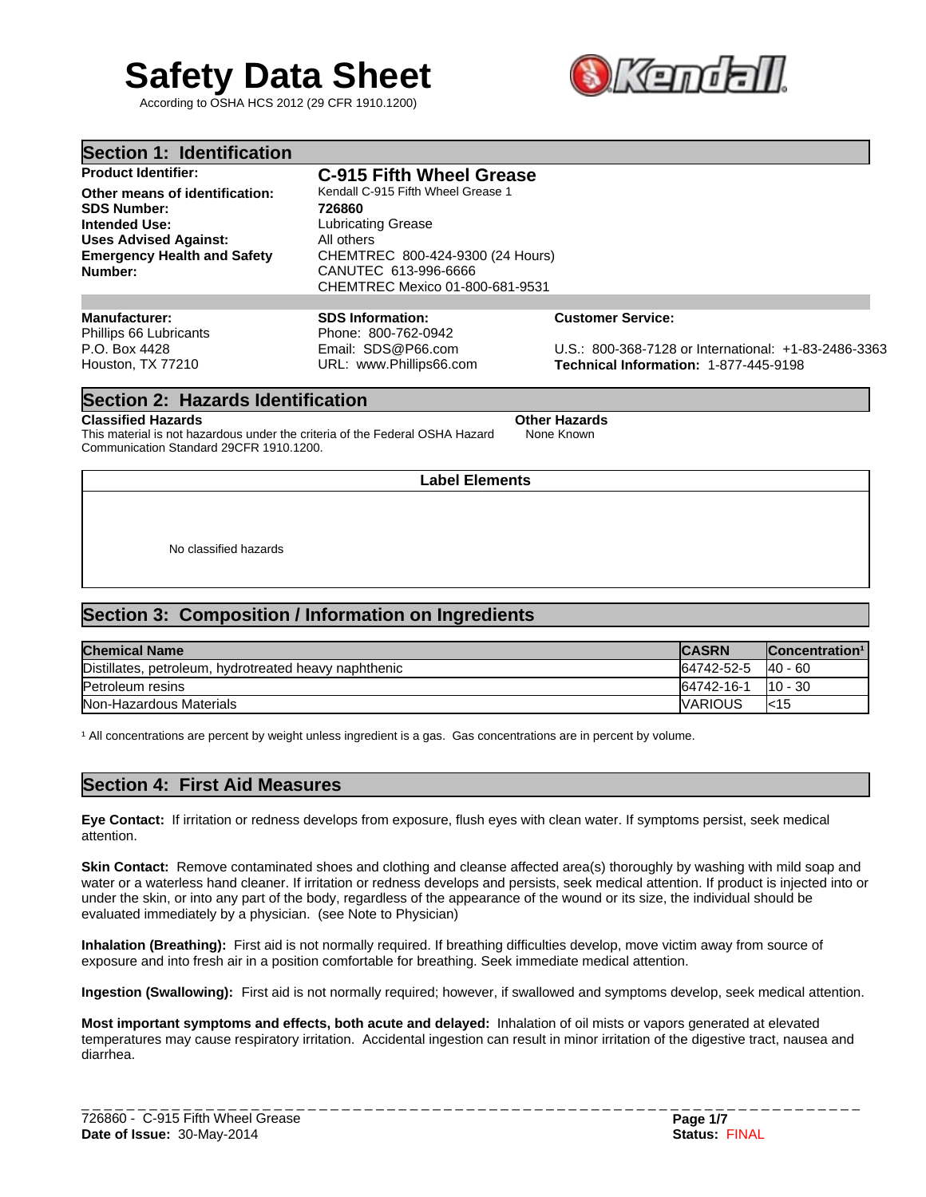# **Safety Data Sheet**

According to OSHA HCS 2012 (29 CFR 1910.1200)



| Section 1: Identification                     |                                                                                             |                                                      |
|-----------------------------------------------|---------------------------------------------------------------------------------------------|------------------------------------------------------|
| <b>Product Identifier:</b>                    | <b>C-915 Fifth Wheel Grease</b>                                                             |                                                      |
| Other means of identification:                | Kendall C-915 Fifth Wheel Grease 1                                                          |                                                      |
| <b>SDS Number:</b>                            | 726860                                                                                      |                                                      |
| Intended Use:                                 | <b>Lubricating Grease</b>                                                                   |                                                      |
| <b>Uses Advised Against:</b>                  | All others                                                                                  |                                                      |
| <b>Emergency Health and Safety</b><br>Number: | CHEMTREC 800-424-9300 (24 Hours)<br>CANUTEC 613-996-6666<br>CHEMTREC Mexico 01-800-681-9531 |                                                      |
|                                               |                                                                                             |                                                      |
| Manufacturer:<br>Phillips 66 Lubricants       | <b>SDS Information:</b><br>Phone: 800-762-0942                                              | <b>Customer Service:</b>                             |
| P.O. Box 4428                                 | Email: SDS@P66.com                                                                          | U.S.: 800-368-7128 or International: +1-83-2486-3363 |
| Houston, TX 77210                             | URL: www.Phillips66.com                                                                     | Technical Information: 1-877-445-9198                |

## **Section 2: Hazards Identification**

#### **Classified Hazards Other Hazards**

This material is not hazardous under the criteria of the Federal OSHA Hazard Communication Standard 29CFR 1910.1200.

**Label Elements**

None Known

No classified hazards

# **Section 3: Composition / Information on Ingredients**

| <b>Chemical Name</b>                                  | <b>CASRN</b> | Concentration <sup>1</sup> |
|-------------------------------------------------------|--------------|----------------------------|
| Distillates, petroleum, hydrotreated heavy naphthenic | 64742-52-5   | $140 - 60$                 |
| Petroleum resins                                      | 64742-16-1   | $110 - 30$                 |
| Non-Hazardous Materials                               | IVARIOUS     | l<15                       |

<sup>1</sup> All concentrations are percent by weight unless ingredient is a gas. Gas concentrations are in percent by volume.

## **Section 4: First Aid Measures**

**Eye Contact:** If irritation or redness develops from exposure, flush eyes with clean water. If symptoms persist, seek medical attention.

**Skin Contact:** Remove contaminated shoes and clothing and cleanse affected area(s) thoroughly by washing with mild soap and water or a waterless hand cleaner. If irritation or redness develops and persists, seek medical attention. If product is injected into or under the skin, or into any part of the body, regardless of the appearance of the wound or its size, the individual should be evaluated immediately by a physician. (see Note to Physician)

**Inhalation (Breathing):** First aid is not normally required. If breathing difficulties develop, move victim away from source of exposure and into fresh air in a position comfortable for breathing. Seek immediate medical attention.

**Ingestion (Swallowing):** First aid is not normally required; however, if swallowed and symptoms develop, seek medical attention.

**Most important symptoms and effects, both acute and delayed:** Inhalation of oil mists or vapors generated at elevated temperatures may cause respiratory irritation. Accidental ingestion can result in minor irritation of the digestive tract, nausea and diarrhea.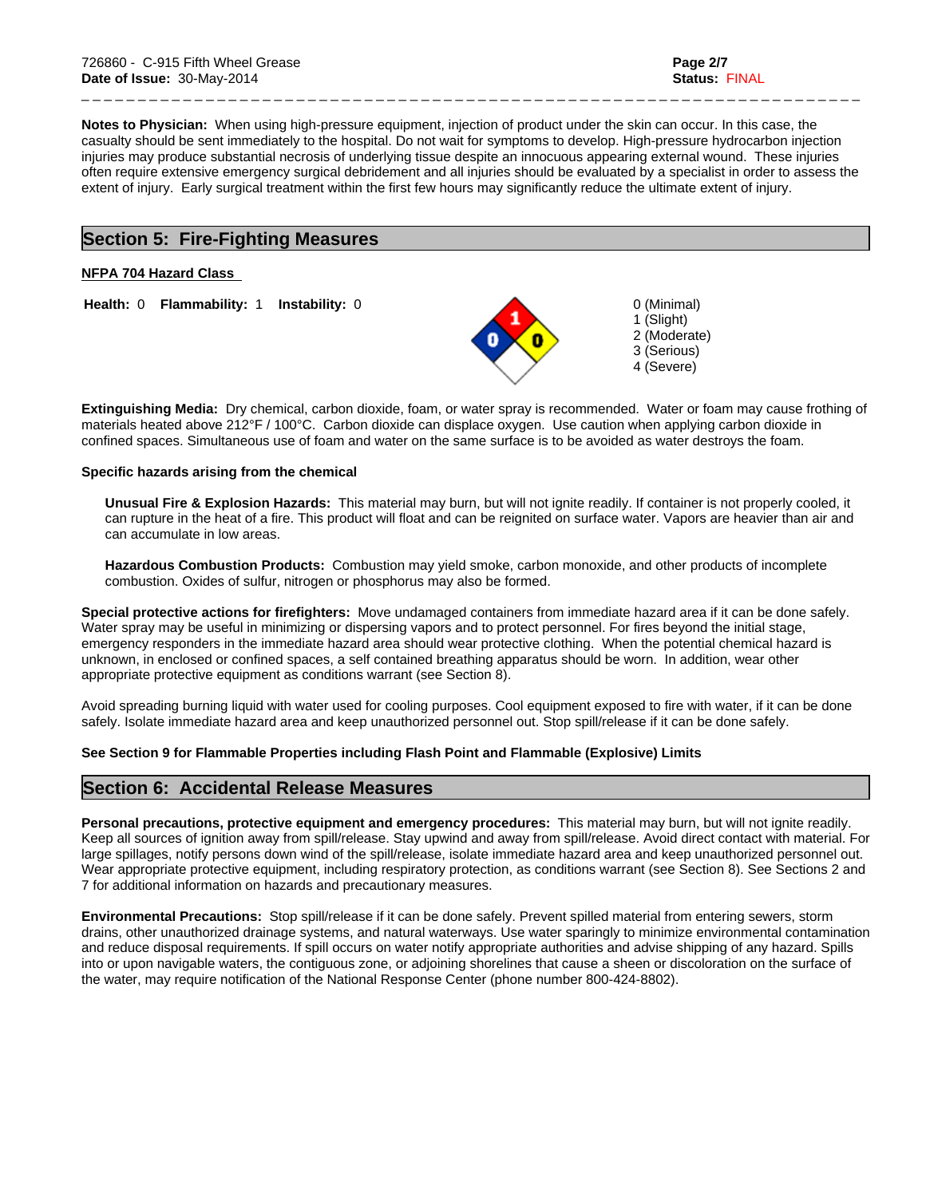1 (Slight) 2 (Moderate) 3 (Serious) 4 (Severe)

**Notes to Physician:** When using high-pressure equipment, injection of product under the skin can occur. In this case, the casualty should be sent immediately to the hospital. Do not wait for symptoms to develop. High-pressure hydrocarbon injection injuries may produce substantial necrosis of underlying tissue despite an innocuous appearing external wound. These injuries often require extensive emergency surgical debridement and all injuries should be evaluated by a specialist in order to assess the extent of injury. Early surgical treatment within the first few hours may significantly reduce the ultimate extent of injury.

\_ \_ \_ \_ \_ \_ \_ \_ \_ \_ \_ \_ \_ \_ \_ \_ \_ \_ \_ \_ \_ \_ \_ \_ \_ \_ \_ \_ \_ \_ \_ \_ \_ \_ \_ \_ \_ \_ \_ \_ \_ \_ \_ \_ \_ \_ \_ \_ \_ \_ \_ \_ \_ \_ \_ \_ \_ \_ \_ \_ \_ \_ \_ \_ \_ \_ \_ \_ \_

## **Section 5: Fire-Fighting Measures**

## **NFPA 704 Hazard Class**

**Health: 0 Flammability: 1 Instability: 0 0 0 (Minimal)** 

**Extinguishing Media:** Dry chemical, carbon dioxide, foam, or water spray is recommended. Water or foam may cause frothing of materials heated above 212°F / 100°C. Carbon dioxide can displace oxygen. Use caution when applying carbon dioxide in confined spaces. Simultaneous use of foam and water on the same surface is to be avoided as water destroys the foam.

## **Specific hazards arising from the chemical**

**Unusual Fire & Explosion Hazards:** This material may burn, but will not ignite readily. If container is not properly cooled, it can rupture in the heat of a fire. This product will float and can be reignited on surface water. Vapors are heavier than air and can accumulate in low areas.

**Hazardous Combustion Products:** Combustion may yield smoke, carbon monoxide, and other products of incomplete combustion. Oxides of sulfur, nitrogen or phosphorus may also be formed.

**Special protective actions for firefighters:** Move undamaged containers from immediate hazard area if it can be done safely. Water spray may be useful in minimizing or dispersing vapors and to protect personnel. For fires beyond the initial stage, emergency responders in the immediate hazard area should wear protective clothing. When the potential chemical hazard is unknown, in enclosed or confined spaces, a self contained breathing apparatus should be worn. In addition, wear other appropriate protective equipment as conditions warrant (see Section 8).

Avoid spreading burning liquid with water used for cooling purposes. Cool equipment exposed to fire with water, if it can be done safely. Isolate immediate hazard area and keep unauthorized personnel out. Stop spill/release if it can be done safely.

**See Section 9 for Flammable Properties including Flash Point and Flammable (Explosive) Limits**

# **Section 6: Accidental Release Measures**

**Personal precautions, protective equipment and emergency procedures:** This material may burn, but will not ignite readily. Keep all sources of ignition away from spill/release. Stay upwind and away from spill/release. Avoid direct contact with material. For large spillages, notify persons down wind of the spill/release, isolate immediate hazard area and keep unauthorized personnel out. Wear appropriate protective equipment, including respiratory protection, as conditions warrant (see Section 8). See Sections 2 and 7 for additional information on hazards and precautionary measures.

**Environmental Precautions:** Stop spill/release if it can be done safely. Prevent spilled material from entering sewers, storm drains, other unauthorized drainage systems, and natural waterways. Use water sparingly to minimize environmental contamination and reduce disposal requirements. If spill occurs on water notify appropriate authorities and advise shipping of any hazard. Spills into or upon navigable waters, the contiguous zone, or adjoining shorelines that cause a sheen or discoloration on the surface of the water, may require notification of the National Response Center (phone number 800-424-8802).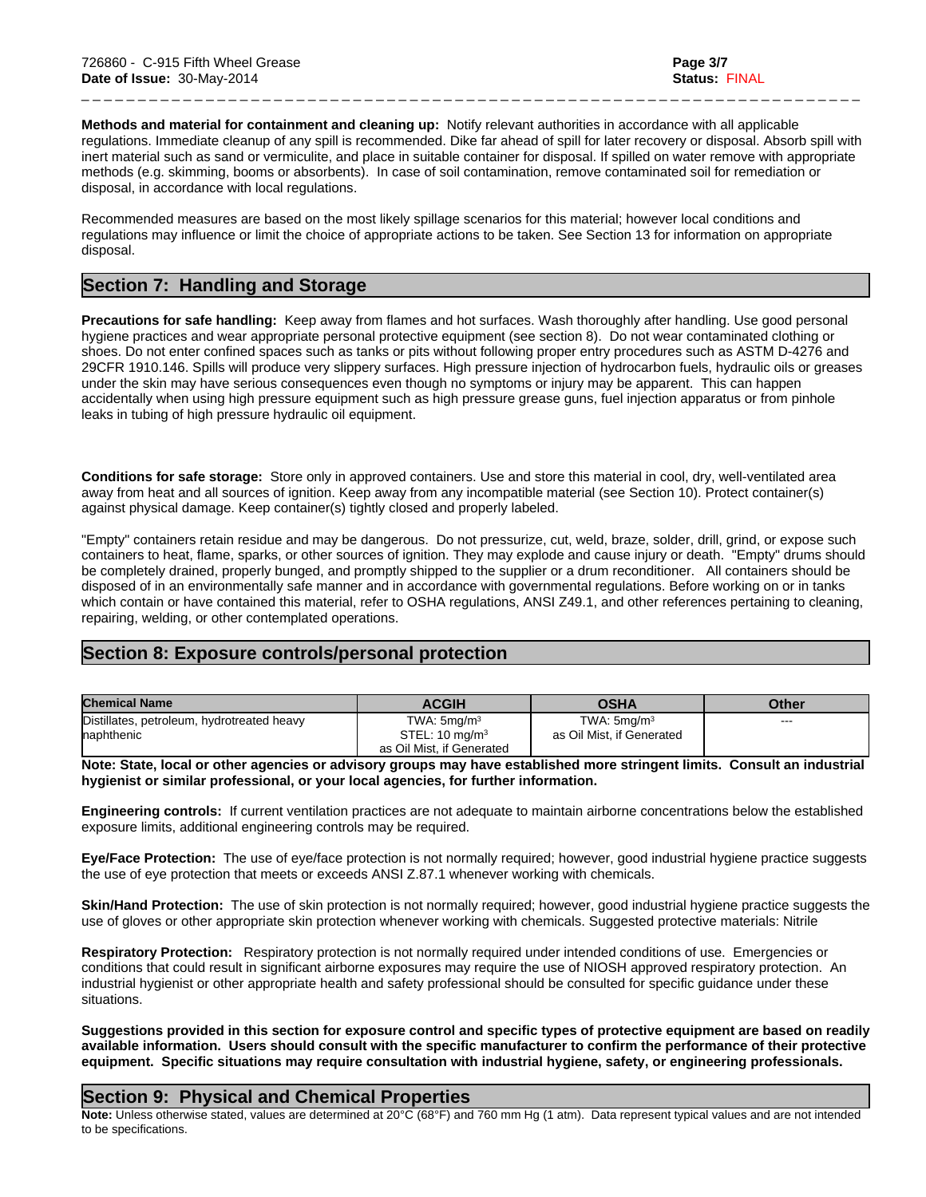**Methods and material for containment and cleaning up:** Notify relevant authorities in accordance with all applicable regulations. Immediate cleanup of any spill is recommended. Dike far ahead of spill for later recovery or disposal. Absorb spill with inert material such as sand or vermiculite, and place in suitable container for disposal. If spilled on water remove with appropriate methods (e.g. skimming, booms or absorbents). In case of soil contamination, remove contaminated soil for remediation or disposal, in accordance with local regulations.

\_ \_ \_ \_ \_ \_ \_ \_ \_ \_ \_ \_ \_ \_ \_ \_ \_ \_ \_ \_ \_ \_ \_ \_ \_ \_ \_ \_ \_ \_ \_ \_ \_ \_ \_ \_ \_ \_ \_ \_ \_ \_ \_ \_ \_ \_ \_ \_ \_ \_ \_ \_ \_ \_ \_ \_ \_ \_ \_ \_ \_ \_ \_ \_ \_ \_ \_ \_ \_

Recommended measures are based on the most likely spillage scenarios for this material; however local conditions and regulations may influence or limit the choice of appropriate actions to be taken. See Section 13 for information on appropriate disposal.

# **Section 7: Handling and Storage**

**Precautions for safe handling:** Keep away from flames and hot surfaces. Wash thoroughly after handling. Use good personal hygiene practices and wear appropriate personal protective equipment (see section 8). Do not wear contaminated clothing or shoes. Do not enter confined spaces such as tanks or pits without following proper entry procedures such as ASTM D-4276 and 29CFR 1910.146. Spills will produce very slippery surfaces. High pressure injection of hydrocarbon fuels, hydraulic oils or greases under the skin may have serious consequences even though no symptoms or injury may be apparent. This can happen accidentally when using high pressure equipment such as high pressure grease guns, fuel injection apparatus or from pinhole leaks in tubing of high pressure hydraulic oil equipment.

**Conditions for safe storage:** Store only in approved containers. Use and store this material in cool, dry, well-ventilated area away from heat and all sources of ignition. Keep away from any incompatible material (see Section 10). Protect container(s) against physical damage. Keep container(s) tightly closed and properly labeled.

"Empty" containers retain residue and may be dangerous. Do not pressurize, cut, weld, braze, solder, drill, grind, or expose such containers to heat, flame, sparks, or other sources of ignition. They may explode and cause injury or death. "Empty" drums should be completely drained, properly bunged, and promptly shipped to the supplier or a drum reconditioner. All containers should be disposed of in an environmentally safe manner and in accordance with governmental regulations. Before working on or in tanks which contain or have contained this material, refer to OSHA regulations, ANSI Z49.1, and other references pertaining to cleaning, repairing, welding, or other contemplated operations.

# **Section 8: Exposure controls/personal protection**

| <b>Chemical Name</b>                       | <b>ACGIH</b>                                           | <b>OSHA</b>               | Other   |
|--------------------------------------------|--------------------------------------------------------|---------------------------|---------|
| Distillates, petroleum, hydrotreated heavy | TWA: $5mq/m3$                                          | TWA: $5$ ma/m $3$         | $- - -$ |
| <b>Inaphthenic</b>                         | STEL: $10 \text{ mg/m}^3$<br>as Oil Mist, if Generated | as Oil Mist, if Generated |         |

**Note: State, local or other agencies or advisory groups may have established more stringent limits. Consult an industrial hygienist or similar professional, or your local agencies, for further information.**

**Engineering controls:** If current ventilation practices are not adequate to maintain airborne concentrations below the established exposure limits, additional engineering controls may be required.

**Eye/Face Protection:** The use of eye/face protection is not normally required; however, good industrial hygiene practice suggests the use of eye protection that meets or exceeds ANSI Z.87.1 whenever working with chemicals.

**Skin/Hand Protection:** The use of skin protection is not normally required; however, good industrial hygiene practice suggests the use of gloves or other appropriate skin protection whenever working with chemicals. Suggested protective materials: Nitrile

**Respiratory Protection:** Respiratory protection is not normally required under intended conditions of use. Emergencies or conditions that could result in significant airborne exposures may require the use of NIOSH approved respiratory protection. An industrial hygienist or other appropriate health and safety professional should be consulted for specific guidance under these situations.

**Suggestions provided in this section for exposure control and specific types of protective equipment are based on readily available information. Users should consult with the specific manufacturer to confirm the performance of their protective equipment. Specific situations may require consultation with industrial hygiene, safety, or engineering professionals.**

# **Section 9: Physical and Chemical Properties**

**Note:** Unless otherwise stated, values are determined at 20°C (68°F) and 760 mm Hg (1 atm). Data represent typical values and are not intended to be specifications.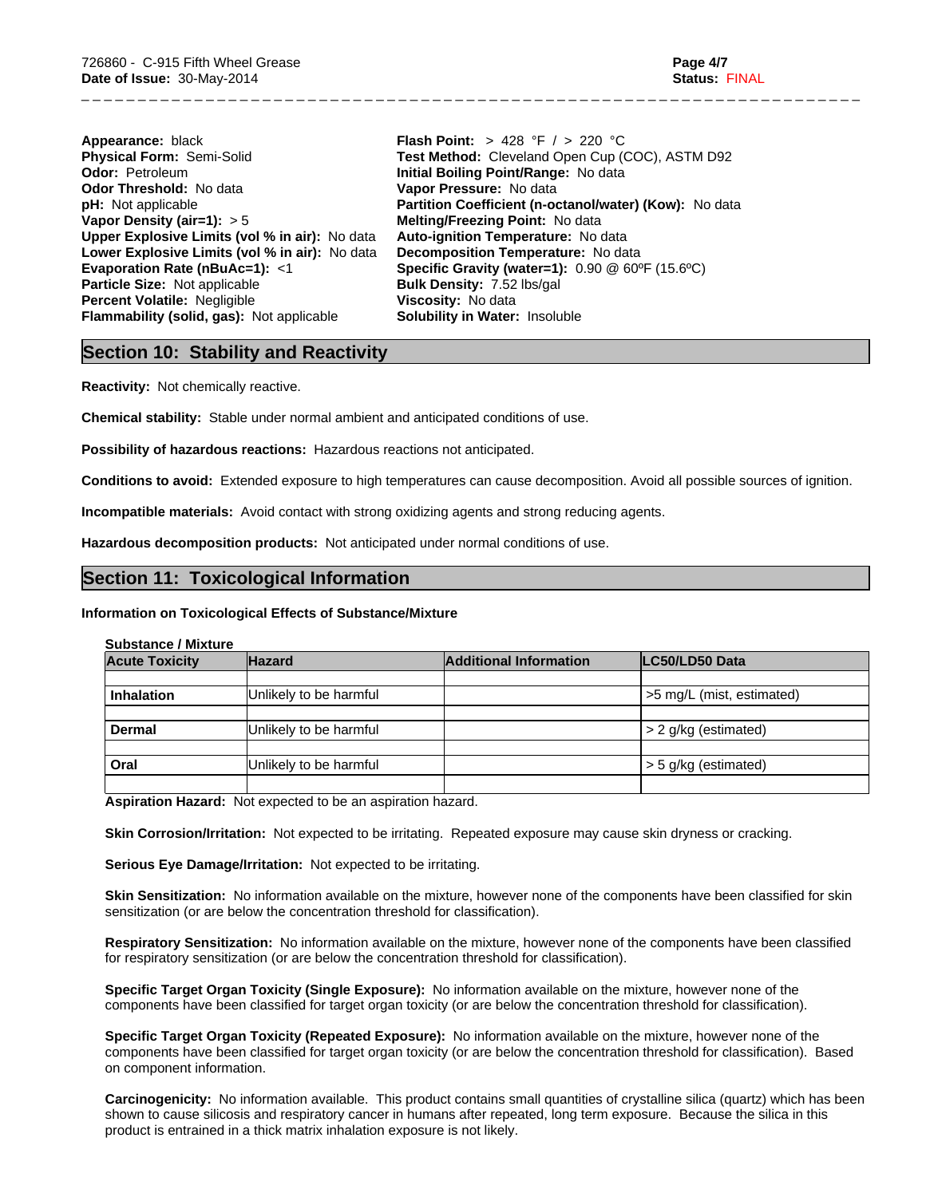| Appearance: black                                | <b>Flash Point:</b> > 428 °F / > 220 °C     |
|--------------------------------------------------|---------------------------------------------|
| Physical Form: Semi-Solid                        | Test Method: Cleveland Open Cup (COC).      |
| <b>Odor: Petroleum</b>                           | Initial Boiling Point/Range: No data        |
| Odor Threshold: No data                          | Vapor Pressure: No data                     |
| <b>pH:</b> Not applicable                        | Partition Coefficient (n-octanol/water) (Ko |
| Vapor Density (air=1): $> 5$                     | Melting/Freezing Point: No data             |
| Upper Explosive Limits (vol % in air): No data   | Auto-ignition Temperature: No data          |
| Lower Explosive Limits (vol % in air): No data   | Decomposition Temperature: No data          |
| Evaporation Rate (nBuAc=1): <1                   | Specific Gravity (water=1): 0.90 @ 60°F (   |
| <b>Particle Size: Not applicable</b>             | <b>Bulk Density: 7.52 lbs/gal</b>           |
| <b>Percent Volatile: Negligible</b>              | Viscosity: No data                          |
| <b>Flammability (solid, gas):</b> Not applicable | <b>Solubility in Water: Insoluble</b>       |
|                                                  |                                             |

**Appearance:** black **Flash Point:** > 428 °F / > 220 °C **Cleveland Open Cup (COC), ASTM D92 Point/Range: No data re:** No data **ficient (n-octanol/water) (Kow):** No data **ing Point: No data Temperature: No data Lower Temperature: No data Evaporation Rate (nBuAc=1):** <1 **Specific Gravity (water=1):** 0.90 @ 60ºF (15.6ºC) **Particle Size:** Not applicable **Bulk Density:** 7.52 lbs/gal **Vater: Insoluble** 

\_ \_ \_ \_ \_ \_ \_ \_ \_ \_ \_ \_ \_ \_ \_ \_ \_ \_ \_ \_ \_ \_ \_ \_ \_ \_ \_ \_ \_ \_ \_ \_ \_ \_ \_ \_ \_ \_ \_ \_ \_ \_ \_ \_ \_ \_ \_ \_ \_ \_ \_ \_ \_ \_ \_ \_ \_ \_ \_ \_ \_ \_ \_ \_ \_ \_ \_ \_ \_

## **Section 10: Stability and Reactivity**

**Reactivity:** Not chemically reactive.

**Chemical stability:** Stable under normal ambient and anticipated conditions of use.

**Possibility of hazardous reactions:** Hazardous reactions not anticipated.

**Conditions to avoid:** Extended exposure to high temperatures can cause decomposition. Avoid all possible sources of ignition.

**Incompatible materials:** Avoid contact with strong oxidizing agents and strong reducing agents.

**Hazardous decomposition products:** Not anticipated under normal conditions of use.

# **Section 11: Toxicological Information**

## **Information on Toxicological Effects of Substance/Mixture**

## **Substance / Mixture**

| <b>Acute Toxicity</b> | <b>Hazard</b>          | <b>Additional Information</b> | LC50/LD50 Data            |
|-----------------------|------------------------|-------------------------------|---------------------------|
|                       |                        |                               |                           |
| <b>Inhalation</b>     | Unlikely to be harmful |                               | >5 mg/L (mist, estimated) |
|                       |                        |                               |                           |
| <b>Dermal</b>         | Unlikely to be harmful |                               | > 2 g/kg (estimated)      |
|                       |                        |                               |                           |
| Oral                  | Unlikely to be harmful |                               | $>$ 5 g/kg (estimated)    |
|                       |                        |                               |                           |

**Aspiration Hazard:** Not expected to be an aspiration hazard.

**Skin Corrosion/Irritation:** Not expected to be irritating. Repeated exposure may cause skin dryness or cracking.

**Serious Eye Damage/Irritation:** Not expected to be irritating.

**Skin Sensitization:** No information available on the mixture, however none of the components have been classified for skin sensitization (or are below the concentration threshold for classification).

**Respiratory Sensitization:** No information available on the mixture, however none of the components have been classified for respiratory sensitization (or are below the concentration threshold for classification).

**Specific Target Organ Toxicity (Single Exposure):** No information available on the mixture, however none of the components have been classified for target organ toxicity (or are below the concentration threshold for classification).

**Specific Target Organ Toxicity (Repeated Exposure):** No information available on the mixture, however none of the components have been classified for target organ toxicity (or are below the concentration threshold for classification). Based on component information.

**Carcinogenicity:** No information available. This product contains small quantities of crystalline silica (quartz) which has been shown to cause silicosis and respiratory cancer in humans after repeated, long term exposure. Because the silica in this product is entrained in a thick matrix inhalation exposure is not likely.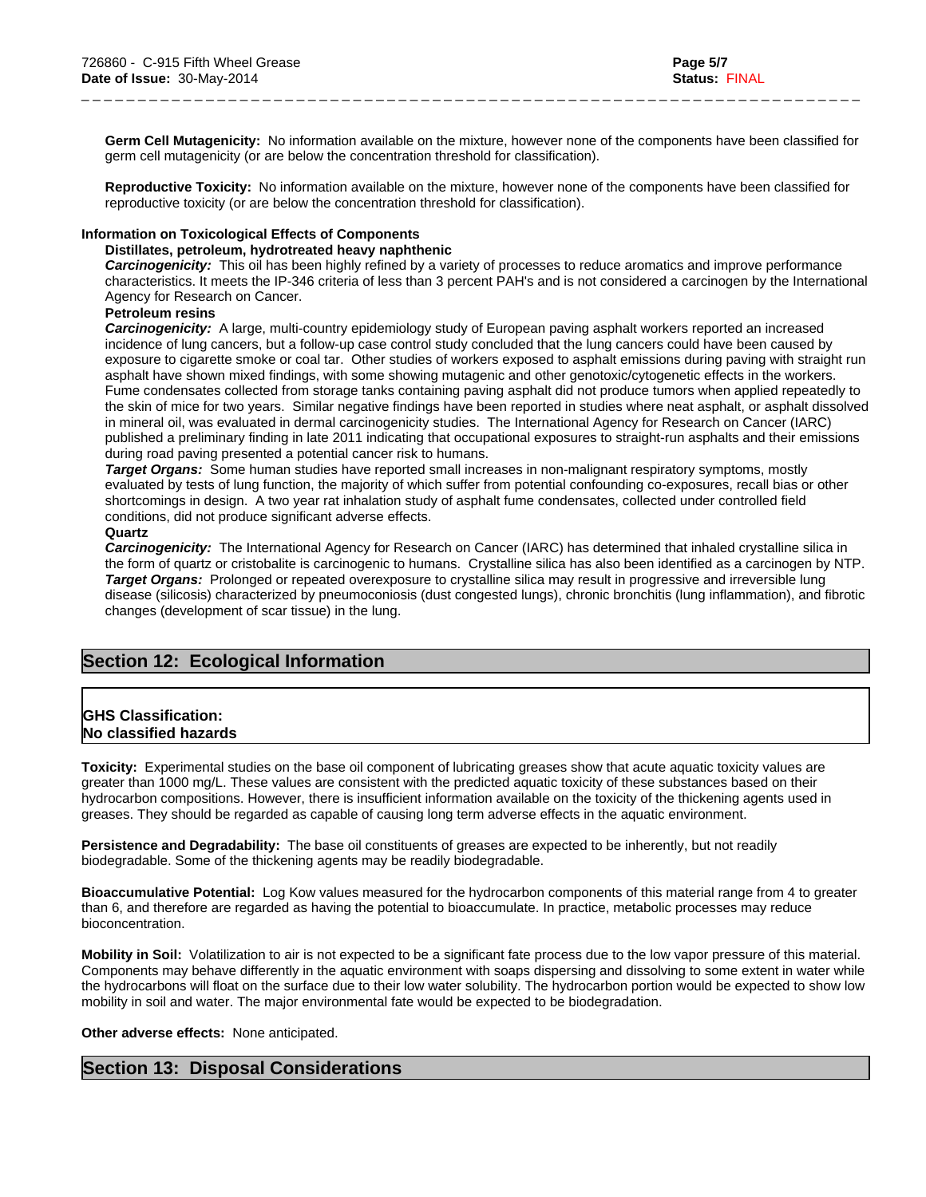**Germ Cell Mutagenicity:** No information available on the mixture, however none of the components have been classified for germ cell mutagenicity (or are below the concentration threshold for classification).

\_ \_ \_ \_ \_ \_ \_ \_ \_ \_ \_ \_ \_ \_ \_ \_ \_ \_ \_ \_ \_ \_ \_ \_ \_ \_ \_ \_ \_ \_ \_ \_ \_ \_ \_ \_ \_ \_ \_ \_ \_ \_ \_ \_ \_ \_ \_ \_ \_ \_ \_ \_ \_ \_ \_ \_ \_ \_ \_ \_ \_ \_ \_ \_ \_ \_ \_ \_ \_

**Reproductive Toxicity:** No information available on the mixture, however none of the components have been classified for reproductive toxicity (or are below the concentration threshold for classification).

## **Information on Toxicological Effects of Components**

## **Distillates, petroleum, hydrotreated heavy naphthenic**

*Carcinogenicity:* This oil has been highly refined by a variety of processes to reduce aromatics and improve performance characteristics. It meets the IP-346 criteria of less than 3 percent PAH's and is not considered a carcinogen by the International Agency for Research on Cancer.

## **Petroleum resins**

*Carcinogenicity:* A large, multi-country epidemiology study of European paving asphalt workers reported an increased incidence of lung cancers, but a follow-up case control study concluded that the lung cancers could have been caused by exposure to cigarette smoke or coal tar. Other studies of workers exposed to asphalt emissions during paving with straight run asphalt have shown mixed findings, with some showing mutagenic and other genotoxic/cytogenetic effects in the workers. Fume condensates collected from storage tanks containing paving asphalt did not produce tumors when applied repeatedly to the skin of mice for two years. Similar negative findings have been reported in studies where neat asphalt, or asphalt dissolved in mineral oil, was evaluated in dermal carcinogenicity studies. The International Agency for Research on Cancer (IARC) published a preliminary finding in late 2011 indicating that occupational exposures to straight-run asphalts and their emissions during road paving presented a potential cancer risk to humans.

*Target Organs:* Some human studies have reported small increases in non-malignant respiratory symptoms, mostly evaluated by tests of lung function, the majority of which suffer from potential confounding co-exposures, recall bias or other shortcomings in design. A two year rat inhalation study of asphalt fume condensates, collected under controlled field conditions, did not produce significant adverse effects.

#### **Quartz**

*Carcinogenicity:* The International Agency for Research on Cancer (IARC) has determined that inhaled crystalline silica in the form of quartz or cristobalite is carcinogenic to humans. Crystalline silica has also been identified as a carcinogen by NTP. *Target Organs:* Prolonged or repeated overexposure to crystalline silica may result in progressive and irreversible lung disease (silicosis) characterized by pneumoconiosis (dust congested lungs), chronic bronchitis (lung inflammation), and fibrotic changes (development of scar tissue) in the lung.

# **Section 12: Ecological Information**

## **GHS Classification: No classified hazards**

**Toxicity:** Experimental studies on the base oil component of lubricating greases show that acute aquatic toxicity values are greater than 1000 mg/L. These values are consistent with the predicted aquatic toxicity of these substances based on their hydrocarbon compositions. However, there is insufficient information available on the toxicity of the thickening agents used in greases. They should be regarded as capable of causing long term adverse effects in the aquatic environment.

**Persistence and Degradability:** The base oil constituents of greases are expected to be inherently, but not readily biodegradable. Some of the thickening agents may be readily biodegradable.

**Bioaccumulative Potential:** Log Kow values measured for the hydrocarbon components of this material range from 4 to greater than 6, and therefore are regarded as having the potential to bioaccumulate. In practice, metabolic processes may reduce bioconcentration.

**Mobility in Soil:** Volatilization to air is not expected to be a significant fate process due to the low vapor pressure of this material. Components may behave differently in the aquatic environment with soaps dispersing and dissolving to some extent in water while the hydrocarbons will float on the surface due to their low water solubility. The hydrocarbon portion would be expected to show low mobility in soil and water. The major environmental fate would be expected to be biodegradation.

#### **Other adverse effects:** None anticipated.

# **Section 13: Disposal Considerations**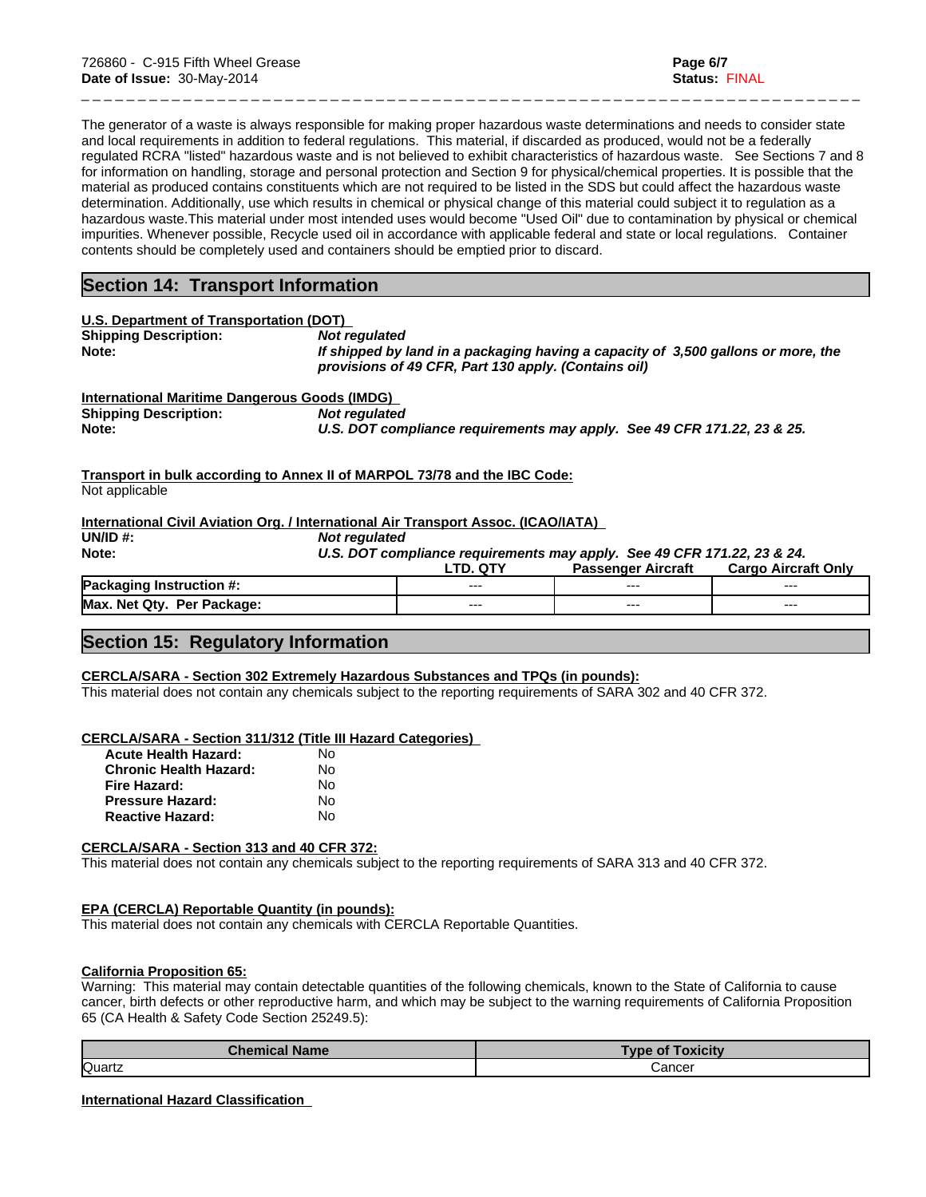The generator of a waste is always responsible for making proper hazardous waste determinations and needs to consider state and local requirements in addition to federal regulations. This material, if discarded as produced, would not be a federally regulated RCRA "listed" hazardous waste and is not believed to exhibit characteristics of hazardous waste. See Sections 7 and 8 for information on handling, storage and personal protection and Section 9 for physical/chemical properties. It is possible that the material as produced contains constituents which are not required to be listed in the SDS but could affect the hazardous waste determination. Additionally, use which results in chemical or physical change of this material could subject it to regulation as a hazardous waste.This material under most intended uses would become "Used Oil" due to contamination by physical or chemical impurities. Whenever possible, Recycle used oil in accordance with applicable federal and state or local regulations. Container contents should be completely used and containers should be emptied prior to discard.

\_ \_ \_ \_ \_ \_ \_ \_ \_ \_ \_ \_ \_ \_ \_ \_ \_ \_ \_ \_ \_ \_ \_ \_ \_ \_ \_ \_ \_ \_ \_ \_ \_ \_ \_ \_ \_ \_ \_ \_ \_ \_ \_ \_ \_ \_ \_ \_ \_ \_ \_ \_ \_ \_ \_ \_ \_ \_ \_ \_ \_ \_ \_ \_ \_ \_ \_ \_ \_

# **Section 14: Transport Information**

| U.S. Department of Transportation (DOT)       |                                                                                                                                           |
|-----------------------------------------------|-------------------------------------------------------------------------------------------------------------------------------------------|
| <b>Shipping Description:</b>                  | Not regulated                                                                                                                             |
| Note:                                         | If shipped by land in a packaging having a capacity of 3,500 gallons or more, the<br>provisions of 49 CFR, Part 130 apply. (Contains oil) |
| International Maritime Dangerous Goods (IMDG) |                                                                                                                                           |
| <b>Shipping Description:</b>                  | Not regulated                                                                                                                             |
| Note:                                         | U.S. DOT compliance requirements may apply. See 49 CFR 171.22, 23 & 25.                                                                   |

**Transport in bulk according to Annex II of MARPOL 73/78 and the IBC Code:** Not applicable

## **International Civil Aviation Org. / International Air Transport Assoc. (ICAO/IATA)**

**UN/ID #:** *Not regulated*

**Note:** *U.S. DOT compliance requirements may apply. See 49 CFR 171.22, 23 & 24.*

|                                        | $\sim$ | Aircraft<br>assenger<br>u- | Only<br>Cargo<br>Aircraft |
|----------------------------------------|--------|----------------------------|---------------------------|
| Pac.<br>Instruction $#$ :<br>.<br>.    | $---$  | ---                        | ---                       |
| Max.<br>Dar<br>Otv<br>Nat.<br>Package: | $---$  | ---                        | ---                       |
|                                        |        |                            |                           |

# **Section 15: Regulatory Information**

#### **CERCLA/SARA - Section 302 Extremely Hazardous Substances and TPQs (in pounds):**

This material does not contain any chemicals subject to the reporting requirements of SARA 302 and 40 CFR 372.

#### **CERCLA/SARA - Section 311/312 (Title III Hazard Categories)**

| <b>Acute Health Hazard:</b>   | No |
|-------------------------------|----|
| <b>Chronic Health Hazard:</b> | N٥ |
| Fire Hazard:                  | N٥ |
| <b>Pressure Hazard:</b>       | N٥ |
| <b>Reactive Hazard:</b>       | N٥ |

## **CERCLA/SARA - Section 313 and 40 CFR 372:**

This material does not contain any chemicals subject to the reporting requirements of SARA 313 and 40 CFR 372.

## **EPA (CERCLA) Reportable Quantity (in pounds):**

This material does not contain any chemicals with CERCLA Reportable Quantities.

## **California Proposition 65:**

Warning: This material may contain detectable quantities of the following chemicals, known to the State of California to cause cancer, birth defects or other reproductive harm, and which may be subject to the warning requirements of California Proposition 65 (CA Health & Safety Code Section 25249.5):

| <b>Chemical Name</b> | <b>Type of Toxicity</b> |  |
|----------------------|-------------------------|--|
| Quartz               | Cancer<br>_ _ _ _       |  |

## **International Hazard Classification**